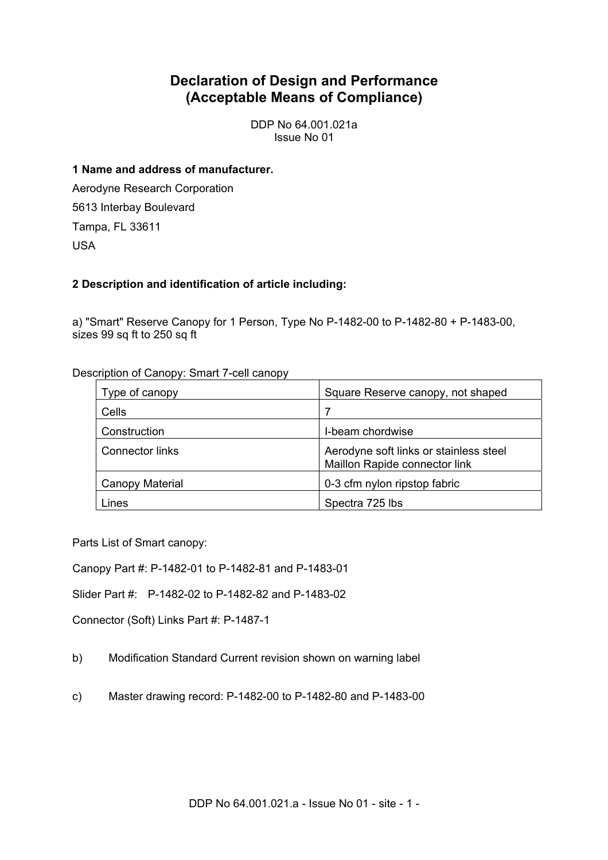# **Declaration of Design and Performance (Acceptable Means of Compliance)**

DDP No 64.001.021a Issue No 01

## **1 Name and address of manufacturer.**

Aerodyne Research Corporation 5613 Interbay Boulevard Tampa, FL 33611 USA

## **2 Description and identification of article including:**

a) "Smart" Reserve Canopy for 1 Person, Type No P-1482-00 to P-1482-80 + P-1483-00, sizes 99 sq ft to 250 sq ft

| Type of canopy  | Square Reserve canopy, not shaped                                       |
|-----------------|-------------------------------------------------------------------------|
| Cells           |                                                                         |
| Construction    | I-beam chordwise                                                        |
| Connector links | Aerodyne soft links or stainless steel<br>Maillon Rapide connector link |
| Canopy Material | 0-3 cfm nylon ripstop fabric                                            |
| Lines           | Spectra 725 lbs                                                         |

Description of Canopy: Smart 7-cell canopy

Parts List of Smart canopy:

Canopy Part #: P-1482-01 to P-1482-81 and P-1483-01

Slider Part #: P-1482-02 to P-1482-82 and P-1483-02

Connector (Soft) Links Part #: P-1487-1

- b) Modification Standard Current revision shown on warning label
- c) Master drawing record: P-1482-00 to P-1482-80 and P-1483-00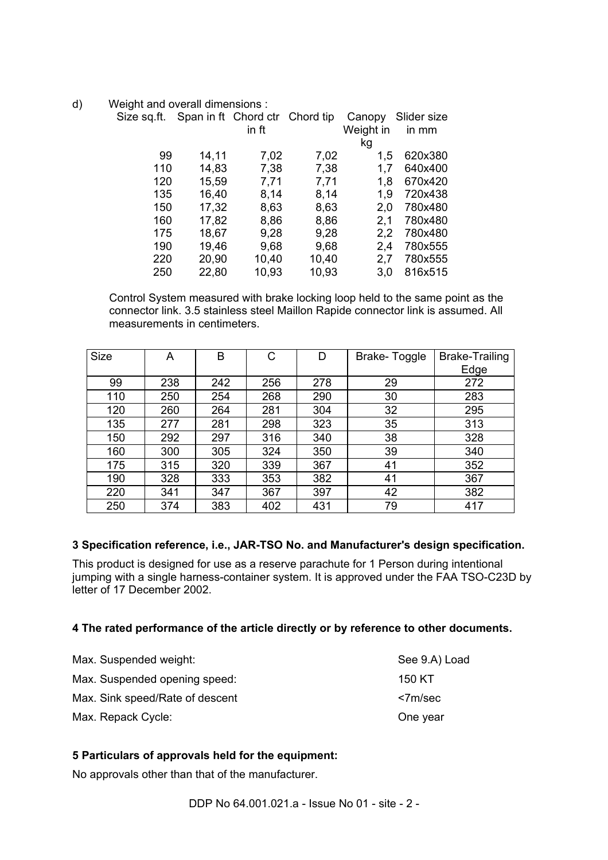d) Weight and overall dimensions :

| Size sq.ft. |       | Span in ft Chord ctr Chord tip |       | Canopy    | Slider size |  |
|-------------|-------|--------------------------------|-------|-----------|-------------|--|
|             |       | in ft                          |       | Weight in | in mm       |  |
|             |       |                                |       | kg        |             |  |
| 99          | 14,11 | 7,02                           | 7,02  | 1,5       | 620x380     |  |
| 110         | 14,83 | 7,38                           | 7,38  | 1,7       | 640x400     |  |
| 120         | 15,59 | 7,71                           | 7,71  | 1,8       | 670x420     |  |
| 135         | 16,40 | 8,14                           | 8,14  | 1,9       | 720x438     |  |
| 150         | 17,32 | 8,63                           | 8,63  | 2,0       | 780x480     |  |
| 160         | 17,82 | 8,86                           | 8,86  | 2,1       | 780x480     |  |
| 175         | 18,67 | 9,28                           | 9,28  | 2,2       | 780x480     |  |
| 190         | 19,46 | 9,68                           | 9,68  | 2,4       | 780x555     |  |
| 220         | 20,90 | 10,40                          | 10,40 | 2,7       | 780x555     |  |
| 250         | 22,80 | 10,93                          | 10,93 | 3.0       | 816x515     |  |

Control System measured with brake locking loop held to the same point as the connector link. 3.5 stainless steel Maillon Rapide connector link is assumed. All measurements in centimeters.

| <b>Size</b> | A   | в   | С   | D   | Brake-Toggle | <b>Brake-Trailing</b> |
|-------------|-----|-----|-----|-----|--------------|-----------------------|
|             |     |     |     |     |              | Edge                  |
| 99          | 238 | 242 | 256 | 278 | 29           | 272                   |
| 110         | 250 | 254 | 268 | 290 | 30           | 283                   |
| 120         | 260 | 264 | 281 | 304 | 32           | 295                   |
| 135         | 277 | 281 | 298 | 323 | 35           | 313                   |
| 150         | 292 | 297 | 316 | 340 | 38           | 328                   |
| 160         | 300 | 305 | 324 | 350 | 39           | 340                   |
| 175         | 315 | 320 | 339 | 367 | 41           | 352                   |
| 190         | 328 | 333 | 353 | 382 | 41           | 367                   |
| 220         | 341 | 347 | 367 | 397 | 42           | 382                   |
| 250         | 374 | 383 | 402 | 431 | 79           | 417                   |

## **3 Specification reference, i.e., JAR-TSO No. and Manufacturer's design specification.**

This product is designed for use as a reserve parachute for 1 Person during intentional jumping with a single harness-container system. It is approved under the FAA TSO-C23D by letter of 17 December 2002.

#### **4 The rated performance of the article directly or by reference to other documents.**

| Max. Suspended weight:          | See 9.A) Load |
|---------------------------------|---------------|
| Max. Suspended opening speed:   | 150 KT        |
| Max. Sink speed/Rate of descent | <7m/sec       |
| Max. Repack Cycle:              | One year      |

## **5 Particulars of approvals held for the equipment:**

No approvals other than that of the manufacturer.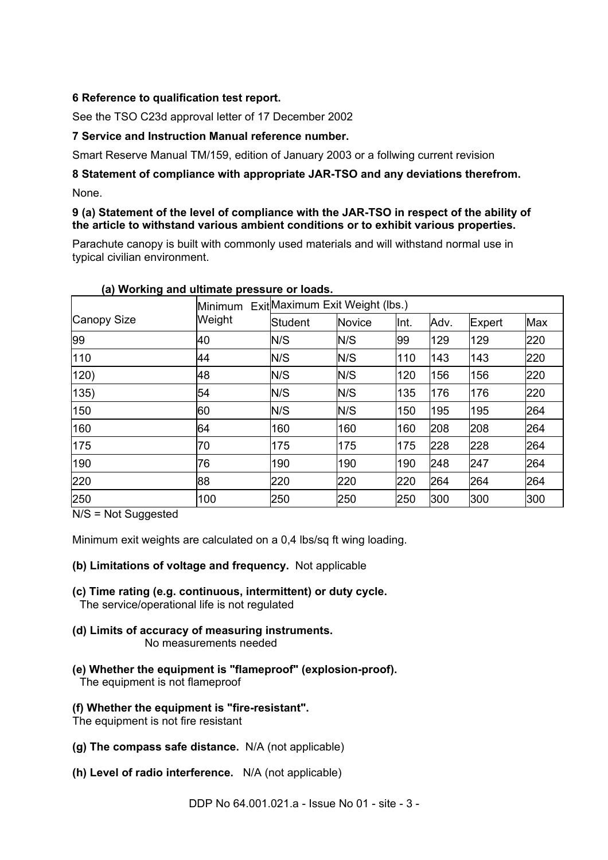## **6 Reference to qualification test report.**

See the TSO C23d approval letter of 17 December 2002

## **7 Service and Instruction Manual reference number.**

Smart Reserve Manual TM/159, edition of January 2003 or a follwing current revision

## **8 Statement of compliance with appropriate JAR-TSO and any deviations therefrom.**  None.

## **9 (a) Statement of the level of compliance with the JAR-TSO in respect of the ability of the article to withstand various ambient conditions or to exhibit various properties.**

Parachute canopy is built with commonly used materials and will withstand normal use in typical civilian environment.

| Canopy Size | <b>Minimum</b> | ExitMaximum Exit Weight (lbs.) |        |      |      |        |     |
|-------------|----------------|--------------------------------|--------|------|------|--------|-----|
|             | Weight         | Student                        | Novice | Int. | Adv. | Expert | Max |
| 99          | 40             | N/S                            | N/S    | 99   | 129  | 129    | 220 |
| 110         | 44             | N/S                            | N/S    | 110  | 143  | 143    | 220 |
| 120)        | 48             | N/S                            | N/S    | 120  | 156  | 156    | 220 |
| 135)        | 54             | N/S                            | N/S    | 135  | 176  | 176    | 220 |
| 150         | 60             | N/S                            | N/S    | 150  | 195  | 195    | 264 |
| 160         | 64             | 160                            | 160    | 160  | 208  | 208    | 264 |
| 175         | 70             | 175                            | 175    | 175  | 228  | 228    | 264 |
| 190         | 76             | 190                            | 190    | 190  | 248  | 247    | 264 |
| 220         | 88             | 220                            | 220    | 220  | 264  | 264    | 264 |
| 250         | 100            | 250                            | 250    | 250  | 300  | 300    | 300 |

#### **(a) Working and ultimate pressure or loads.**

N/S = Not Suggested

Minimum exit weights are calculated on a 0,4 lbs/sq ft wing loading.

## **(b) Limitations of voltage and frequency.** Not applicable

- **(c) Time rating (e.g. continuous, intermittent) or duty cycle.** The service/operational life is not regulated
- **(d) Limits of accuracy of measuring instruments.** No measurements needed
- **(e) Whether the equipment is "flameproof" (explosion-proof).**  The equipment is not flameproof

## **(f) Whether the equipment is "fire-resistant".**

The equipment is not fire resistant

- **(g) The compass safe distance.** N/A (not applicable)
- **(h) Level of radio interference.** N/A (not applicable)